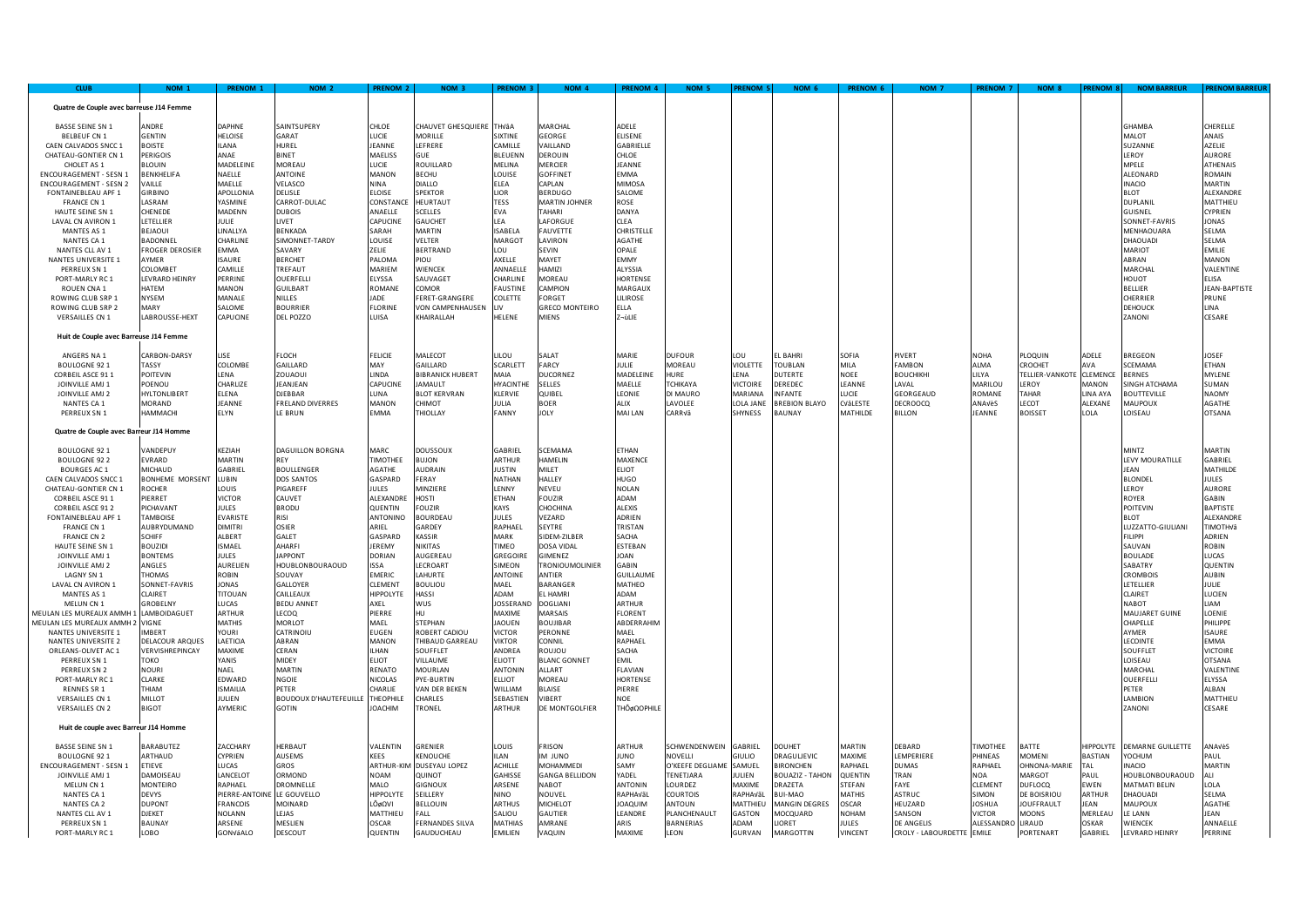| <b>CLUB</b>                                             | NOM <sub>1</sub>                | PRENOM 1                | NOM <sub>2</sub>              | <b>RENOM 2</b>                    | NOM <sub>3</sub>                  | <b>PRENOM 3</b>         | NOM <sub>4</sub>               | PRENOM 4                      | NOM <sub>5</sub>            | <b>RENOM 5</b>         | NOM <sub>6</sub>                  | PRENOM 6                 | <b>NOM 7</b>              | <b>PRENOM 7</b>              | NOM <sub>8</sub>                | <b>PRENOM 8</b>     | <b>NOM BARREUR</b>               | <b>RENOM BARR</b>             |
|---------------------------------------------------------|---------------------------------|-------------------------|-------------------------------|-----------------------------------|-----------------------------------|-------------------------|--------------------------------|-------------------------------|-----------------------------|------------------------|-----------------------------------|--------------------------|---------------------------|------------------------------|---------------------------------|---------------------|----------------------------------|-------------------------------|
| Quatre de Couple avec barreuse J14 Femme                |                                 |                         |                               |                                   |                                   |                         |                                |                               |                             |                        |                                   |                          |                           |                              |                                 |                     |                                  |                               |
| <b>BASSE SEINE SN 1</b>                                 | <b>ANDRF</b>                    | DAPHNE                  | SAINTSUPERY                   | CHI OF                            | CHAUVET GHESQUIERE THVÂA          |                         | MARCHAL                        | ADELE                         |                             |                        |                                   |                          |                           |                              |                                 |                     | <b>GHAMBA</b>                    | CHERFLIF                      |
| <b>BELBEUF CN 1</b>                                     | <b>GENTIN</b>                   | HELOISE                 | GARAT                         | LUCIE                             | <b>MORILLE</b>                    | SIXTINE                 | GEORGE                         | ELISENE                       |                             |                        |                                   |                          |                           |                              |                                 |                     | TO IAM                           | ANAIS                         |
| CAEN CALVADOS SNCC 1                                    | <b>BOISTE</b>                   | <b>ILANA</b>            | HUREL                         | <b>EANNE</b>                      | LEFRERE                           | CAMILLE                 | VAILLAND                       | GABRIELLE                     |                             |                        |                                   |                          |                           |                              |                                 |                     | SUZANNE                          | AZELIE                        |
| CHATEAU-GONTIER CN 1                                    | <b>PERIGOIS</b>                 | ANAE                    | <b>BINET</b>                  | MAELISS                           | GUE                               | BLEUENN                 | <b>DEROUIN</b>                 | CHLOE                         |                             |                        |                                   |                          |                           |                              |                                 |                     | LEROY                            | AURORF                        |
| CHOLET AS 1                                             | <b>BLOUIN</b>                   | MADELEINE               | <b>MORFALI</b>                | LUCIE                             | <b>ROUILLARD</b>                  | MELINA                  | MFRCIFR                        | <b>IFANNF</b>                 |                             |                        |                                   |                          |                           |                              |                                 |                     | <b>MPELE</b>                     | <b>ATHFNAIS</b>               |
| ENCOURAGEMENT - SESN 1                                  | <b>BENKHELIFA</b>               | NAELLE                  | ANTOINE                       | MANON                             | <b>BECHU</b>                      | LOUISE                  | <b>GOFFINET</b>                | MMA:                          |                             |                        |                                   |                          |                           |                              |                                 |                     | ALEONARD                         | ROMAIN                        |
| <b>ENCOURAGEMENT - SESN 2</b>                           | VAILLE                          | MAELLE                  | VELASCO                       | NINA                              | <b>DIALLO</b>                     | ELEA                    | CAPLAN<br><b>BERDUGO</b>       | MIMOSA                        |                             |                        |                                   |                          |                           |                              |                                 |                     | <b>INACIO</b>                    | MARTIN                        |
| FONTAINEBLEAU APF 1<br><b>FRANCE CN 1</b>               | <b>GIRBINO</b><br><b>IASRAM</b> | APOLLONIA<br>YASMINF    | DELISLE<br>CARROT-DUI AC      | <b>ELOISE</b><br>CONSTANCE        | <b>SPEKTOR</b><br><b>HFURTAUT</b> | LIOR<br>TESS            | MARTIN JOHNER                  | SALOME<br><b>ROSE</b>         |                             |                        |                                   |                          |                           |                              |                                 |                     | <b>BLOT</b><br><b>DUPLANII</b>   | ALEXANDRI<br>MATTHIFL         |
| HAUTE SEINE SN 1                                        | CHENEDE                         | MADENN                  | <b>DUBOIS</b>                 | <b>ANAFIIF</b>                    | SCELLES                           | <b>FVA</b>              | <b>TAHARI</b>                  | DANYA                         |                             |                        |                                   |                          |                           |                              |                                 |                     | GUISNEL                          | <b>CYPRIEN</b>                |
| LAVAL CN AVIRON 1                                       | LETELLIER                       | <b>JULIE</b>            | LIVET                         | CAPUCINE                          | <b>GAUCHET</b>                    | IFA.                    | <b>I AFORGUE</b>               | CLEA                          |                             |                        |                                   |                          |                           |                              |                                 |                     | SONNET-FAVRIS                    | JONAS                         |
| MANTES AS 1                                             | BEJAOUI                         | LINALLYA                | BENKADA                       | SARAH                             | <b>MARTIN</b>                     | ISABELA                 | FAUVETTE                       | CHRISTELLE                    |                             |                        |                                   |                          |                           |                              |                                 |                     | MENHAOUARA                       | SELMA                         |
| NANTES CA 1                                             | BADONNEL                        | CHARLINE                | SIMONNET-TARDY                | LOUISE                            | VELTER                            | MARGOT                  | <b>I AVIRON</b>                | <b>AGATHE</b>                 |                             |                        |                                   |                          |                           |                              |                                 |                     | <b>DHAOUADI</b>                  | SELMA                         |
| NANTES CLL AV 1                                         | <b>FROGER DEROSIER</b>          | <b>FMMA</b>             | SAVARY                        | ZELIE                             | <b>BERTRAND</b>                   | <b>LIO</b>              | SEVIN                          | OPALE                         |                             |                        |                                   |                          |                           |                              |                                 |                     | MARIOT                           | <b>EMILIE</b>                 |
| NANTES UNIVERSITE 1                                     | AYMER                           | SAURE                   | <b>BERCHET</b>                | PALOMA                            | PIOU                              | AXELLE                  | MAYET                          | EMMY                          |                             |                        |                                   |                          |                           |                              |                                 |                     | ABRAN                            | MANON                         |
| PERREUX SN 1                                            | COLOMBET                        | CAMILLE                 | TREFAUT                       | MARIEM                            | WIENCEK                           | ANNAELLE                | HAMIZI                         | ALYSSIA                       |                             |                        |                                   |                          |                           |                              |                                 |                     | MARCHAL                          | VALENTINE                     |
| PORT-MARLY RC 1<br>ROUFN CNA 1                          | LEVRARD HEINRY<br><b>HATFM</b>  | PERRINE<br>MANON        | OUERFELLI<br><b>GUILBART</b>  | ELYSSA<br>ROMANE                  | SAUVAGET<br><b>COMOR</b>          | CHARLINE                | MOREAU<br><b>CAMPION</b>       | HORTENSE<br>MARGAUX           |                             |                        |                                   |                          |                           |                              |                                 |                     | <b>HOUOT</b><br><b>BELLIER</b>   | ELISA<br><b>IFAN-BAPTISTE</b> |
| ROWING CLUB SRP 1                                       | <b>NYSEM</b>                    | MANALE                  | NILLES                        | <b>ADE</b>                        | FERET-GRANGERE                    | FAUSTINE<br>COLETTE     | FORGET                         | <b>ILIROSE</b>                |                             |                        |                                   |                          |                           |                              |                                 |                     | CHERRIER                         | PRUNE                         |
| ROWING CLUB SRP 2                                       | <b>MARY</b>                     | SALOME                  | <b>BOURRIER</b>               | FLORINE                           | VON CAMPENHAUSEN                  | IV                      | <b>GRECO MONTEIRO</b>          | ELLA                          |                             |                        |                                   |                          |                           |                              |                                 |                     | <b>DEHOUCK</b>                   | LINA                          |
| VERSAILLES CN 1                                         | LABROUSSE-HEXT                  | CAPUCINE                | DEL POZZO                     | LUISA                             | KHAIRALLAH                        | HELENE                  | <b>MIENS</b>                   | ∽ùLIE                         |                             |                        |                                   |                          |                           |                              |                                 |                     | ZANONI                           | CESARE                        |
| Huit de Couple avec Barreuse J14 Femme                  |                                 |                         |                               |                                   |                                   |                         |                                |                               |                             |                        |                                   |                          |                           |                              |                                 |                     |                                  |                               |
| ANGERS NA 1                                             | CARBON-DARSY                    | LISE                    | FLOCH                         | <b>FELICIE</b>                    | MALECOT                           | LILOU                   | SALAT                          | MARIE                         | <b>DUFOUR</b>               | LOU                    | L BAHRI                           | SOFIA                    | PIVERT                    | <b>NOHA</b>                  | PLOQUIN                         | ADELE               | <b>BREGEON</b>                   | JOSEF                         |
| <b>BOULOGNE 921</b>                                     | TASSY                           | COLOMBE                 | GAILLARD                      | MAY                               | GAILLARD                          | SCARLETT                | FARCY                          | <b>JULIE</b>                  | MOREAU                      | VIOLETTE               | <b>TOUBLAN</b>                    | MILA                     | <b>FAMBON</b>             | <b>ALMA</b>                  | CROCHET                         | <b>AVA</b>          | <b>SCEMAMA</b>                   | <b>FTHAN</b>                  |
| CORBEIL ASCE 91 1                                       | <b>POITFVIN</b>                 | I FNA                   | ZOUAOUI                       | <b>INDA</b>                       | <b>BIBRANICK HUBERT</b>           | <b>MAIA</b>             | DUCORNEZ                       | MADELEINE                     | HURF                        | I FNA                  | <b>DUTERTE</b>                    | <b>NOEE</b>              | <b>ВО</b> ЦСНІКНІ         | LILYA                        | TFI I IFR-VANKOTE               | <b>CLEMENCE</b>     | <b>BERNES</b>                    | MYI FNF                       |
| JOINVILLE AMJ 1                                         | POENOU                          | CHARLIZE                | JEANJEAN                      | CAPUCINE                          | <b>JAMAULT</b>                    | HYACINTHE               | SELLES                         | MAELLE                        | TCHIKAYA                    | <b>VICTOIRE</b>        | DEREDEC                           | LEANNE                   | LAVAL                     | MARILOU                      | LEROY                           | MANON               | SINGH ATCHAMA                    | SUMAN                         |
| JOINVILLE AMJ 2                                         | <b>HYLTONLIBERT</b>             | ELENA                   | <b>DJEBBAR</b>                | UNA.                              | <b>BLOT KERVRAN</b>               | KLERVIE                 | QUIBEL                         | LEONIE                        | DI MAURC                    | MARIANA                | NFANTE                            | LUCIE                    | <b>GEORGEAUD</b>          | <b>ROMANE</b>                | TAHAR                           | <b>LINA AYA</b>     | <b>BOUTTEVILLE</b>               | <b>NAOMY</b>                  |
| NANTES CA 1                                             | MORAND                          | JEANNE                  | FRELAND DIVERRES              | MANON                             | CHIMOT                            | JULIA                   | <b>BOER</b>                    | ALIX                          | LAVOLEE                     | LOLA JANE              | <b>BREBION BLAYO</b>              | CVâLESTE                 | <b>DECROOCQ</b>           | ANAVèS                       | LECOT                           | ALEXANE             | MAUPOUX                          | AGATHE                        |
| PERREUX SN 1<br>Quatre de Couple avec Barreur J14 Homme | ΗΔΜΜΔΟΗΙ                        | <b>FI YN</b>            | LE BRUN                       | ΕΜΜΔ                              | THIOLLAY                          | <b>FANNY</b>            | JOLY                           | MAI LAN                       | CARRVâ                      | <b>SHYNESS</b>         | <b>BAUNAY</b>                     | MATHILDE                 | <b>BILLON</b>             | <b>IFANNF</b>                | <b>BOISSET</b>                  | LOLA                | LOISEAU                          | <b>OTSANA</b>                 |
|                                                         |                                 |                         |                               |                                   |                                   |                         |                                |                               |                             |                        |                                   |                          |                           |                              |                                 |                     |                                  |                               |
| <b>BOULOGNE 92 1</b>                                    | VANDEPUY                        | KEZIAH                  | DAGUILLON BORGNA              | MARC                              | DOUSSOUX                          | GABRIEL                 | SCEMAMA                        | ETHAN                         |                             |                        |                                   |                          |                           |                              |                                 |                     | <b>MINTZ</b>                     | MARTIN                        |
| <b>BOULOGNE 922</b>                                     | EVRARD                          | <b>MARTIN</b>           | RFY                           | <b>TIMOTHEE</b>                   | <b>BUION</b>                      | ARTHUR                  | HAMELIN                        | <b>MAXENCE</b>                |                             |                        |                                   |                          |                           |                              |                                 |                     | LEVY MOURATILLE                  | GABRIEL                       |
| <b>BOURGES AC 1</b>                                     | MICHAUD                         | GABRIEL                 | <b>BOULLENGER</b>             | AGATHE                            | AUDRAIN                           | <b>JUSTIN</b>           | MILET                          | ELIOT                         |                             |                        |                                   |                          |                           |                              |                                 |                     | JEAN                             | MATHILDE                      |
| CAEN CALVADOS SNCC 1                                    | <b>BONHEME MORSENT</b>          | LUBIN                   | <b>DOS SANTOS</b>             | GASPARD                           | FERAY                             | NATHAN                  | HALLEY                         | <b>HUGO</b>                   |                             |                        |                                   |                          |                           |                              |                                 |                     | <b>BLONDEL</b>                   | <b>ULES</b><br><b>AURORF</b>  |
| CHATEAU-GONTIER CN 1<br>CORBEIL ASCE 91 1               | ROCHER<br>PIERRET               | LOUIS<br>VICTOR         | PIGAREFF<br>CAUVET            | <b>IULES</b><br><b>AI FXANDRE</b> | MIN7IFRF<br>HOSTI                 | LENNY<br>ETHAN          | NFVFU<br><b>FOUZIR</b>         | <b>NOLAN</b><br><b>MANA</b>   |                             |                        |                                   |                          |                           |                              |                                 |                     | <b>I FROY</b><br><b>ROYER</b>    | <b>GARIN</b>                  |
| CORBEIL ASCE 91 2                                       | PICHAVANT                       | JULES                   | <b>BRODU</b>                  | QUENTIN                           | FOUZIR                            | KAYS                    | CHOCHINA                       | ALEXIS                        |                             |                        |                                   |                          |                           |                              |                                 |                     | <b>POITEVIN</b>                  | BAPTISTE                      |
| FONTAINEBLEAU APF 1                                     | <b>TAMBOISE</b>                 | EVARISTE                | <b>RISI</b>                   | <b>INTONINO</b>                   | <b>BOURDEAU</b>                   | <b>JULES</b>            | VEZARD                         | ADRIEN                        |                             |                        |                                   |                          |                           |                              |                                 |                     | <b>BIOT</b>                      | <b>NI FXANDR</b>              |
| <b>FRANCE CN 1</b>                                      | AUBRYDUMAND                     | <b>DIMITRI</b>          | <b>OSIER</b>                  | ARIEL                             | GARDEY                            | RAPHAFI                 | SFYTRF                         | TRISTAN                       |                             |                        |                                   |                          |                           |                              |                                 |                     | LUZZATTO-GIULIANI                | <b>TIMOTHV</b>                |
| <b>FRANCE CN 2</b>                                      | <b>SCHIFF</b>                   | ALBERT                  | GALET                         | GASPARD                           | KASSIR                            | MARK                    | SIDFM-7II BFR                  | SACHA                         |                             |                        |                                   |                          |                           |                              |                                 |                     | <b>FILIPPI</b>                   | ADRIEN                        |
| HAUTE SEINE SN 1                                        | <b>BOUZIDI</b>                  | <b>ISMAEL</b>           | <b>AHARFI</b>                 | <b>IFRFMY</b>                     | <b>NIKITAS</b>                    | <b>TIMEO</b>            | DOSA VIDAI                     | ESTEBAN                       |                             |                        |                                   |                          |                           |                              |                                 |                     | SAUVAN                           | ROBIN                         |
| JOINVILLE AMJ 1                                         | <b>BONTFMS</b>                  | JULES                   | <b>IAPPONT</b>                | DORIAN                            | AUGEREAU                          | GREGOIRE                | GIMENEZ                        | JOAN                          |                             |                        |                                   |                          |                           |                              |                                 |                     | <b>BOULADE</b>                   | <b>IUCAS</b>                  |
| JOINVILLE AMJ 2                                         | ANGLES                          | AURELIEN                | HOUBLONBOURAOUD               | <b>SSA</b>                        | LECROART                          | SIMEON                  | TRONIOUMOLINIER                | GABIN                         |                             |                        |                                   |                          |                           |                              |                                 |                     | SABATRY                          | QUENTIN                       |
| LAGNY SN 1                                              | <b>THOMAS</b>                   | <b>ROBIN</b>            | SOUVAY                        | EMERIC                            | LAHURTE                           | ANTOINE                 | ANTIFR<br>RARANGER             | <b>GUILLAUME</b>              |                             |                        |                                   |                          |                           |                              |                                 |                     | <b>CROMBOIS</b>                  | AUBIN                         |
| LAVAL CN AVIRON 1<br>MANTES AS 1                        | SONNET-FAVRIS<br>CLAIRET        | <b>IONAS</b><br>TITOUAN | <b>GALLOYER</b><br>CAILLEAUX  | CLEMENT<br>HIPPOLYTE              | <b>BOULIOU</b><br>HASSI           | MAFI<br>ADAM            | EL HAMRI                       | MATHEO<br>MAQA                |                             |                        |                                   |                          |                           |                              |                                 |                     | <b>IFTFILIER</b><br>CLAIRET      | <b>IULIF</b><br>LUCIEN        |
| MELUN CN 1                                              | <b>GROBELNY</b>                 | LUCAS                   | <b>BEDU ANNET</b>             | AXEL                              | WUS                               | <b>JOSSERAND</b>        | <b>DOGLIANI</b>                | ARTHUR                        |                             |                        |                                   |                          |                           |                              |                                 |                     | <b>NABOT</b>                     | LIAM                          |
| MEULAN LES MUREAUX AMMH :                               | LAMBOIDAGUET                    | ARTHUR                  | LECOQ                         | PIERRE                            | HU.                               | MAXIME                  | MARSAIS                        | FLORENT                       |                             |                        |                                   |                          |                           |                              |                                 |                     | MAUJARET GUINE                   | LOENIE                        |
| MEULAN LES MUREAUX AMMH 2                               | <b>VIGNE</b>                    | MATHIS                  | <b>MORLOT</b>                 | MAEL                              | STEPHAN                           | <b>JAOUEN</b>           | <b>ROLLURAR</b>                | <b>ARDERRAHIN</b>             |                             |                        |                                   |                          |                           |                              |                                 |                     | CHAPELLE                         | PHILIPPE                      |
| NANTES UNIVERSITE 1                                     | <b>IMBERT</b>                   | YOURI                   | CATRINOIU                     | EUGEN                             | ROBERT CADIOU                     | VICTOR                  | PERONNE                        | MAFI                          |                             |                        |                                   |                          |                           |                              |                                 |                     | AYMFR                            | <b>ISAURF</b>                 |
| NANTES UNIVERSITE 2                                     | DELACOUR AROUES                 | <b>AFTICIA</b>          | ABRAN                         | MANON                             | THIBAUD GARREAU                   | <b>/IKTOR</b>           | <b>CONNIL</b>                  | RAPHAFI                       |                             |                        |                                   |                          |                           |                              |                                 |                     | LECOINTE                         | <b>FMMA</b>                   |
| ORLEANS-OLIVET AC 1                                     | VERVISHREPINCAY                 | MAXIME                  | CERAN                         | <b>LHAN</b>                       | SOUFFLET                          | ANDREA                  | ROUJOU                         | SACHA                         |                             |                        |                                   |                          |                           |                              |                                 |                     | SOUFFLET                         | VICTOIRE                      |
| PERREUX SN 1                                            | токо                            | YANIS                   | MIDEY                         | ELIOT                             | VILLAUME                          | ELIOTT                  | <b>BLANC GONNET</b>            | <b>EMIL</b>                   |                             |                        |                                   |                          |                           |                              |                                 |                     | LOISEAU                          | <b>OTSANA</b>                 |
| PERREUX SN 2                                            | <b>NOURI</b>                    | NAFI                    | <b>MARTIN</b>                 | RENATO                            | <b>MOURLAN</b>                    | ANTONIN                 | AI I ART                       | FLAVIAN                       |                             |                        |                                   |                          |                           |                              |                                 |                     | <b>MARCHAI</b>                   | <b>VAI FNTINE</b>             |
| PORT-MARLY RC 1<br>RENNES SR 1                          | CLARKE<br>MAIHT                 | EDWARD<br>SMAILIA       | NGOIE<br>PETER                | <b>VICOLAS</b><br>CHARLIE         | YE-BURTIN<br><b>/AN DER BEKEN</b> | <b>TOILI</b><br>WILLIAM | MOREAU<br><b>BLAISE</b>        | HORTENSE<br>PIERRE            |                             |                        |                                   |                          |                           |                              |                                 |                     | OUERFELLI<br>PETER               | ELYSSA<br>ALBAN               |
| VERSAILLES CN 1                                         | MILLOT                          | JULIEN                  | <b>BOUDOUX D'HAUTEFEUILLE</b> | THFOPHILE                         | CHARLES                           | SEBASTIEN               | VIBERT                         | <b>NOF</b>                    |                             |                        |                                   |                          |                           |                              |                                 |                     | <b>I AMBION</b>                  | MATTHIEU                      |
| VERSAILLES CN 2                                         | <b>BIGOT</b>                    | AYMERIC                 | <b>GOTIN</b>                  | <b>OACHIM</b>                     | TRONEL                            | ARTHUR                  | DE MONTGOLFIER                 | ΉÔ¢ΩOPHILI                    |                             |                        |                                   |                          |                           |                              |                                 |                     | ZANONI                           | CESARE                        |
| Huit de couple avec Barreur J14 Homme                   |                                 |                         |                               |                                   |                                   |                         |                                |                               |                             |                        |                                   |                          |                           |                              |                                 |                     |                                  |                               |
|                                                         |                                 |                         |                               |                                   |                                   |                         |                                |                               |                             |                        |                                   |                          |                           |                              |                                 |                     |                                  |                               |
| <b>BASSE SEINE SN 1</b>                                 | BARABUTEZ                       | ZACCHARY                | <b>HERBAUT</b>                | VALENTIN                          | GRENIER                           | LOUIS                   | FRISON                         | ARTHUR                        | SCHWENDENWEIN               | <b>GABRIFI</b>         | DOUHET                            | <b>MARTIN</b>            | DEBARD                    | TIMOTHEE                     | <b>BATTF</b>                    | HIPPOLYTE           | DEMARNE GUILLETTE                | ANAVèS                        |
| <b>BOULOGNE 921</b>                                     | ARTHAUD                         | CYPRIEN                 | <b>AUSEMS</b>                 | KEES                              | KENOUCHE                          | LAN                     | ONUL MI                        | <b>ONUI</b>                   | NOVELLI                     | GIULIO                 | DRAGULJEVIC                       | MAXIME                   | EMPERIERE                 | <b>HINEAS</b>                | MOMENI                          | <b>BASTIAN</b>      | YOCHUM                           | PAUL                          |
| ENCOURAGEMENT - SESN 1                                  | <b>FTIFVF</b>                   | <b>UCAS</b>             | GROS                          | ARTHUR-                           | DUSEYAU LOPEZ                     | ACHILLE                 | MOHAMMEDI                      | SAMY                          | O'KFFFF DFGLIAM             | SAMUEL                 | <b>BIRONCHEN</b>                  | RAPHAEL                  | <b>DUMAS</b>              | RAPHAEL                      | <b>HNONA-MARIE</b>              | TAI                 | NACIO                            | MARTIN                        |
| JOINVILLE AMJ 1<br>MELUN CN 1                           | DAMOISEAU<br><b>MONTEIRO</b>    | LANCELOT<br>RAPHAEL     | ORMOND<br>DROMNELLE           | NOAM<br>MALO                      | QUINOT<br>GIGNOUX                 | GAHISSE<br>ARSENE       | <b>GANGA BELLIDON</b><br>NAROT | <b>ADEL</b><br><b>ANTONIN</b> | <b>FENETJARA</b><br>LOURDEZ | ULIEN<br><b>MAXIME</b> | <b>BOUAZIZ - TAHON</b><br>DRAZETA | QUENTIN<br><b>STEFAN</b> | TRAN<br>AYE               | <b>NOA</b><br><b>CLEMENT</b> | <b>AARGOT</b><br><b>DUFLOCQ</b> | PAUL<br><b>EWEN</b> | HOUBLONBOURAOUD<br>MATMATI BELIN | LOLA                          |
| NANTES CA 1                                             | <b>DFVYS</b>                    | PIFRRF-ANTOIN           | <b>IF GOUVELLO</b>            | <b>HIPPOLYTI</b>                  | <b>SFILLERY</b>                   | <b>ONIN</b>             | NOUVEL                         | RAPHAVÃL                      | <b>COURTOIS</b>             | RAPHAVÃI               | BUI-MAO                           | <b>MATHIS</b>            | ASTRUC                    | SIMON                        | DE BOISRIOU                     | <b>ARTHUR</b>       | DHAOUADI                         | SFI MA                        |
| NANTES CA 2                                             | <b>DUPONT</b>                   | FRANCOIS                | MOINARD                       | LÔøΩVI                            | <b>BELLOUIN</b>                   | ARTHUS                  | MICHELOT                       | MIUDAOL                       | ANTOUN                      | MATTHIEU               | MANGIN DEGRES                     | <b>OSCAR</b>             | <b>IEUZARD</b>            | <b>JOSHUA</b>                | <b>JOUFFRAULT</b>               | JEAN                | MAUPOUX                          | AGATHE                        |
| NANTES CLL AV 1                                         | DJEKET                          | NOLANN                  | LEJAS                         | MATTHIEU                          | FALL                              | ALIOU                   | GAUTIER                        | LEANDRE                       | PLANCHENAULT                | GASTON                 | MOCQUARD                          | <b>NOHAM</b>             | SANSON                    | <b>VICTOR</b>                | MOONS                           | MERLEAU             | E LANN                           | JEAN                          |
| PERREUX SN 1                                            | BAUNAY                          | ARSENE                  | MESLIEN                       | <b>DSCAR</b>                      | <b>FERNANDES SILVA</b>            | MATHIAS                 | AMRANE                         | ARIS                          | <b>BARNERIAS</b>            | ADAM                   | <b>IORFT</b>                      | <b>JULES</b>             | DE ANGELIS                | ALESSANDRO                   | LIRAUD                          | OSKAR               | WIENCEK                          | ANNAELLE                      |
| PORT-MARLY RC 1                                         | LOBO                            | GONVáALO                | <b>DESCOUT</b>                | QUENTIN                           | <b>GAUDUCHEAU</b>                 | <b>EMILIEN</b>          | VAQUIN                         | MAXIME                        | LEON                        | <b>GURVAN</b>          | <b>MARGOTTIN</b>                  | <b>VINCENT</b>           | CROLY - LABOURDETTE EMILE |                              | PORTENART                       | <b>GABRIEL</b>      | <b>LEVRARD HEINRY</b>            | PERRINE                       |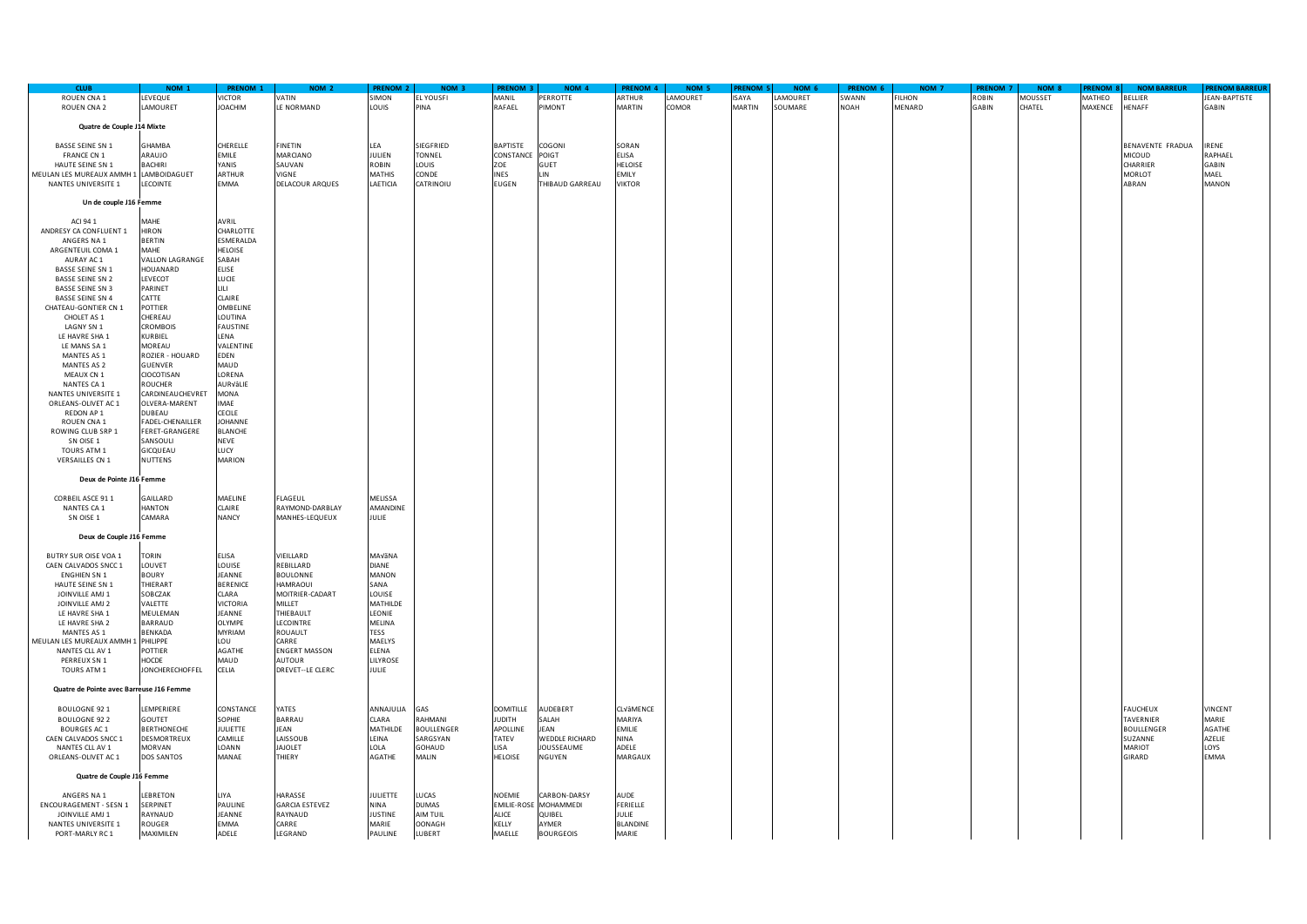| <b>CLUB</b>                              | NOM <sub>1</sub>   | <b>PRENOM 1</b> | NOM <sub>2</sub>      | <b>PRENOM 2</b> | NOM <sub>3</sub>  | <b>PRENOM</b>    | NOM <sub>4</sub> | <b>PRENOM 4</b> | NOM <sub>5</sub> | <b>RENOM</b>  | NOM <sub>6</sub> | PRENOM 6     | NOM <sub>7</sub> | <b>PRENOM 7</b> | NOM <sub>8</sub> | <b>RENOM 8</b> | <b>NOM BARREUR</b> | <b>PRENOM BARREUI</b> |
|------------------------------------------|--------------------|-----------------|-----------------------|-----------------|-------------------|------------------|------------------|-----------------|------------------|---------------|------------------|--------------|------------------|-----------------|------------------|----------------|--------------------|-----------------------|
| <b>ROUEN CNA 1</b>                       | LEVEQUE            | VICTOR          | <b>VATIN</b>          | <b>SIMON</b>    | <b>EL YOUSFI</b>  | MANIL            | PERROTTE         | ARTHUR          | LAMOURET         | <b>ISAYA</b>  | LAMOURET         | <b>SWANN</b> | <b>FILHON</b>    | <b>OBIN</b>     | <b>MOUSSET</b>   | <b>MATHEO</b>  | <b>BELLIER</b>     | JEAN-BAPTISTE         |
| ROUEN CNA 2                              | LAMOURET           | <b>JOACHIM</b>  | LE NORMAND            | LOUIS           | PINA              | RAFAEL           | PIMONT           | MARTIN          | COMOR            | <b>MARTIN</b> | SOUMARE          | NOAH         | MENARD           | GABIN           | CHATEL           | MAXENCE        | HENAFF             | <b>GABIN</b>          |
|                                          |                    |                 |                       |                 |                   |                  |                  |                 |                  |               |                  |              |                  |                 |                  |                |                    |                       |
|                                          |                    |                 |                       |                 |                   |                  |                  |                 |                  |               |                  |              |                  |                 |                  |                |                    |                       |
| Quatre de Couple J14 Mixte               |                    |                 |                       |                 |                   |                  |                  |                 |                  |               |                  |              |                  |                 |                  |                |                    |                       |
|                                          |                    |                 |                       |                 |                   |                  |                  |                 |                  |               |                  |              |                  |                 |                  |                |                    |                       |
| <b>BASSE SEINE SN 1</b>                  | <b>GHAMBA</b>      | CHERELLE        | FINETIN               | LEA             | SIEGFRIED         | BAPTISTE         | COGONI           | SORAN           |                  |               |                  |              |                  |                 |                  |                | BENAVENTE FRADUA   | <b>IRENE</b>          |
| FRANCE CN 1                              | ARAUJO             | EMILE           | MARCIANO              | JULIEN          | <b>TONNEL</b>     | CONSTANCE        | POIGT            | ELISA           |                  |               |                  |              |                  |                 |                  |                | <b>MICOUD</b>      | RAPHAEL               |
| HAUTE SEINE SN 1                         | <b>BACHIRI</b>     | YANIS           | SAUVAN                | <b>ROBIN</b>    | LOUIS             | ZOE              | GUET             | <b>HELOISE</b>  |                  |               |                  |              |                  |                 |                  |                | CHARRIER           | <b>GABIN</b>          |
| MEULAN LES MUREAUX AMMH 1 LAMBOIDAGUET   |                    | <b>ARTHUR</b>   | VIGNE                 | <b>MATHIS</b>   | CONDE             | <b>INES</b>      | I IN             | <b>FMILY</b>    |                  |               |                  |              |                  |                 |                  |                | MORLOT             | MAEL                  |
| NANTES UNIVERSITE 1                      | LECOINTE           | EMMA            | DELACOUR ARQUES       | LAETICIA        | CATRINOIU         | <b>EUGEN</b>     | THIBAUD GARREAU  | VIKTOR          |                  |               |                  |              |                  |                 |                  |                | ABRAN              | <b>MANON</b>          |
|                                          |                    |                 |                       |                 |                   |                  |                  |                 |                  |               |                  |              |                  |                 |                  |                |                    |                       |
|                                          |                    |                 |                       |                 |                   |                  |                  |                 |                  |               |                  |              |                  |                 |                  |                |                    |                       |
| Un de couple J16 Femme                   |                    |                 |                       |                 |                   |                  |                  |                 |                  |               |                  |              |                  |                 |                  |                |                    |                       |
|                                          |                    |                 |                       |                 |                   |                  |                  |                 |                  |               |                  |              |                  |                 |                  |                |                    |                       |
| ACI 94 1                                 | <b>MAHE</b>        | AVRIL           |                       |                 |                   |                  |                  |                 |                  |               |                  |              |                  |                 |                  |                |                    |                       |
| ANDRESY CA CONFLUENT 1                   | <b>HIRON</b>       | CHARLOTTE       |                       |                 |                   |                  |                  |                 |                  |               |                  |              |                  |                 |                  |                |                    |                       |
| ANGERS NA 1                              | <b>BERTIN</b>      | ESMERALDA       |                       |                 |                   |                  |                  |                 |                  |               |                  |              |                  |                 |                  |                |                    |                       |
| ARGENTEUIL COMA 1                        | <b>MAHE</b>        | HELOISE         |                       |                 |                   |                  |                  |                 |                  |               |                  |              |                  |                 |                  |                |                    |                       |
| AURAY AC 1                               | VALLON LAGRANGE    | SABAH           |                       |                 |                   |                  |                  |                 |                  |               |                  |              |                  |                 |                  |                |                    |                       |
|                                          |                    |                 |                       |                 |                   |                  |                  |                 |                  |               |                  |              |                  |                 |                  |                |                    |                       |
| <b>BASSE SEINE SN 1</b>                  | HOUANARD           | <b>ELISE</b>    |                       |                 |                   |                  |                  |                 |                  |               |                  |              |                  |                 |                  |                |                    |                       |
| <b>BASSE SEINE SN 2</b>                  | LEVECOT            | LUCIE           |                       |                 |                   |                  |                  |                 |                  |               |                  |              |                  |                 |                  |                |                    |                       |
| <b>BASSE SEINE SN 3</b>                  | PARINET            | LILI -          |                       |                 |                   |                  |                  |                 |                  |               |                  |              |                  |                 |                  |                |                    |                       |
| BASSE SEINE SN 4                         | CATTE              | CLAIRE          |                       |                 |                   |                  |                  |                 |                  |               |                  |              |                  |                 |                  |                |                    |                       |
| CHATEAU-GONTIER CN 1                     | POTTIER            | OMBELINE        |                       |                 |                   |                  |                  |                 |                  |               |                  |              |                  |                 |                  |                |                    |                       |
| CHOLET AS 1                              | CHEREAU            | LOUTINA         |                       |                 |                   |                  |                  |                 |                  |               |                  |              |                  |                 |                  |                |                    |                       |
|                                          |                    |                 |                       |                 |                   |                  |                  |                 |                  |               |                  |              |                  |                 |                  |                |                    |                       |
| LAGNY SN 1                               | <b>CROMBOIS</b>    | <b>FAUSTINE</b> |                       |                 |                   |                  |                  |                 |                  |               |                  |              |                  |                 |                  |                |                    |                       |
| LE HAVRE SHA 1                           | KURBIEL            | LENA            |                       |                 |                   |                  |                  |                 |                  |               |                  |              |                  |                 |                  |                |                    |                       |
| LE MANS SA 1                             | <b>MOREAU</b>      | VALENTINE       |                       |                 |                   |                  |                  |                 |                  |               |                  |              |                  |                 |                  |                |                    |                       |
| MANTES AS 1                              | ROZIER - HOUARD    | EDEN            |                       |                 |                   |                  |                  |                 |                  |               |                  |              |                  |                 |                  |                |                    |                       |
| MANTES AS 2                              | GUENVER            | MAUD            |                       |                 |                   |                  |                  |                 |                  |               |                  |              |                  |                 |                  |                |                    |                       |
| MEAUX CN 1                               | CIOCOTISAN         | LORENA          |                       |                 |                   |                  |                  |                 |                  |               |                  |              |                  |                 |                  |                |                    |                       |
|                                          | <b>ROUCHER</b>     |                 |                       |                 |                   |                  |                  |                 |                  |               |                  |              |                  |                 |                  |                |                    |                       |
| NANTES CA 1                              |                    | AURVâLIE        |                       |                 |                   |                  |                  |                 |                  |               |                  |              |                  |                 |                  |                |                    |                       |
| NANTES UNIVERSITE 1                      | CARDINEAUCHEVRET   | MONA            |                       |                 |                   |                  |                  |                 |                  |               |                  |              |                  |                 |                  |                |                    |                       |
| ORLEANS-OLIVET AC 1                      | OLVERA-MARENT      | IMAE            |                       |                 |                   |                  |                  |                 |                  |               |                  |              |                  |                 |                  |                |                    |                       |
| REDON AP 1                               | DUBEAU             | CECILE          |                       |                 |                   |                  |                  |                 |                  |               |                  |              |                  |                 |                  |                |                    |                       |
| ROUEN CNA 1                              | FADEL-CHENAILLER   | JOHANNE         |                       |                 |                   |                  |                  |                 |                  |               |                  |              |                  |                 |                  |                |                    |                       |
| ROWING CLUB SRP 1                        | FERET-GRANGERE     | <b>BLANCHE</b>  |                       |                 |                   |                  |                  |                 |                  |               |                  |              |                  |                 |                  |                |                    |                       |
| SN OISE 1                                | SANSOULI           | <b>NEVE</b>     |                       |                 |                   |                  |                  |                 |                  |               |                  |              |                  |                 |                  |                |                    |                       |
|                                          |                    |                 |                       |                 |                   |                  |                  |                 |                  |               |                  |              |                  |                 |                  |                |                    |                       |
| TOURS ATM 1                              | GICQUEAU           | LUCY            |                       |                 |                   |                  |                  |                 |                  |               |                  |              |                  |                 |                  |                |                    |                       |
| VERSAILLES CN 1                          | NUTTENS            | <b>MARION</b>   |                       |                 |                   |                  |                  |                 |                  |               |                  |              |                  |                 |                  |                |                    |                       |
|                                          |                    |                 |                       |                 |                   |                  |                  |                 |                  |               |                  |              |                  |                 |                  |                |                    |                       |
| Deux de Pointe J16 Femme                 |                    |                 |                       |                 |                   |                  |                  |                 |                  |               |                  |              |                  |                 |                  |                |                    |                       |
|                                          |                    |                 |                       |                 |                   |                  |                  |                 |                  |               |                  |              |                  |                 |                  |                |                    |                       |
| CORBEIL ASCE 911                         | GAILLARD           | MAELINE         | LAGEUL                | MELISSA         |                   |                  |                  |                 |                  |               |                  |              |                  |                 |                  |                |                    |                       |
|                                          |                    |                 |                       |                 |                   |                  |                  |                 |                  |               |                  |              |                  |                 |                  |                |                    |                       |
| NANTES CA 1                              | HANTON             | CLAIRE          | RAYMOND-DARBLAY       | <b>AMANDINE</b> |                   |                  |                  |                 |                  |               |                  |              |                  |                 |                  |                |                    |                       |
| SN OISE 1                                | CAMARA             | NANCY           | MANHES-LEQUEUX        | JULIE           |                   |                  |                  |                 |                  |               |                  |              |                  |                 |                  |                |                    |                       |
|                                          |                    |                 |                       |                 |                   |                  |                  |                 |                  |               |                  |              |                  |                 |                  |                |                    |                       |
| Deux de Couple J16 Femme                 |                    |                 |                       |                 |                   |                  |                  |                 |                  |               |                  |              |                  |                 |                  |                |                    |                       |
|                                          |                    |                 |                       |                 |                   |                  |                  |                 |                  |               |                  |              |                  |                 |                  |                |                    |                       |
| BUTRY SUR OISE VOA 1                     | <b>TORIN</b>       | <b>ELISA</b>    | VIEILLARD             | MAVãNA          |                   |                  |                  |                 |                  |               |                  |              |                  |                 |                  |                |                    |                       |
| CAEN CALVADOS SNCC 1                     | LOUVET             | LOUISE          | REBILLARD             | <b>DIANE</b>    |                   |                  |                  |                 |                  |               |                  |              |                  |                 |                  |                |                    |                       |
|                                          |                    |                 |                       |                 |                   |                  |                  |                 |                  |               |                  |              |                  |                 |                  |                |                    |                       |
| <b>ENGHIEN SN 1</b>                      | <b>BOURY</b>       | JEANNE          | <b>BOULONNE</b>       | MANON           |                   |                  |                  |                 |                  |               |                  |              |                  |                 |                  |                |                    |                       |
| HAUTE SEINE SN 1                         | THIERART           | <b>BERENICE</b> | <b>HAMRAOUI</b>       | SANA            |                   |                  |                  |                 |                  |               |                  |              |                  |                 |                  |                |                    |                       |
| JOINVILLE AMJ 1                          | SOBCZAK            | CLARA           | MOITRIER-CADART       | <b>LOUISE</b>   |                   |                  |                  |                 |                  |               |                  |              |                  |                 |                  |                |                    |                       |
| JOINVILLE AMJ 2                          | VALETTE            | <b>VICTORIA</b> | MILLET                | MATHILDE        |                   |                  |                  |                 |                  |               |                  |              |                  |                 |                  |                |                    |                       |
| LE HAVRE SHA 1                           | MEULEMAN           | JEANNE          | THIEBAULT             | LEONIE          |                   |                  |                  |                 |                  |               |                  |              |                  |                 |                  |                |                    |                       |
| LE HAVRE SHA 2                           | BARRAUD            | <b>OLYMPE</b>   | <b>LECOINTRE</b>      | MELINA          |                   |                  |                  |                 |                  |               |                  |              |                  |                 |                  |                |                    |                       |
|                                          |                    | MYRIAM          |                       |                 |                   |                  |                  |                 |                  |               |                  |              |                  |                 |                  |                |                    |                       |
| MANTES AS 1                              | BENKADA            |                 | ROUAULT               | <b>TESS</b>     |                   |                  |                  |                 |                  |               |                  |              |                  |                 |                  |                |                    |                       |
| MEULAN LES MUREAUX AMMH 1 PHILIPPE       |                    | LOU             | CARRE                 | MAELYS          |                   |                  |                  |                 |                  |               |                  |              |                  |                 |                  |                |                    |                       |
| NANTES CLL AV 1                          | <b>POTTIER</b>     | AGATHE          | <b>ENGERT MASSON</b>  | ELENA           |                   |                  |                  |                 |                  |               |                  |              |                  |                 |                  |                |                    |                       |
| PERREUX SN 1                             | HOCDE              | MAUD            | <b>AUTOUR</b>         | LILYROSE        |                   |                  |                  |                 |                  |               |                  |              |                  |                 |                  |                |                    |                       |
| TOURS ATM 1                              | JONCHERECHOFFEL    | CELIA           | DREVET--LE CLERC      | JULIE           |                   |                  |                  |                 |                  |               |                  |              |                  |                 |                  |                |                    |                       |
|                                          |                    |                 |                       |                 |                   |                  |                  |                 |                  |               |                  |              |                  |                 |                  |                |                    |                       |
| Quatre de Pointe avec Barreuse J16 Femme |                    |                 |                       |                 |                   |                  |                  |                 |                  |               |                  |              |                  |                 |                  |                |                    |                       |
|                                          |                    |                 |                       |                 |                   |                  |                  |                 |                  |               |                  |              |                  |                 |                  |                |                    |                       |
|                                          |                    |                 |                       |                 |                   |                  |                  |                 |                  |               |                  |              |                  |                 |                  |                |                    |                       |
| <b>BOULOGNE 921</b>                      | LEMPERIERE         | CONSTANCE       | YATES                 | ANNAJULIA       | GAS               | <b>DOMITILLE</b> | AUDEBERT         | CLVâMENCE       |                  |               |                  |              |                  |                 |                  |                | <b>FAUCHEUX</b>    | <b>VINCENT</b>        |
| <b>BOULOGNE 922</b>                      | GOUTET             | SOPHIE          | BARRAU                | CLARA           | RAHMANI           | <b>HTIOUL</b>    | SALAH            | MARIYA          |                  |               |                  |              |                  |                 |                  |                | TAVERNIER          | MARIE                 |
| <b>BOURGES AC 1</b>                      | <b>BERTHONECHE</b> | JULIETTE        | JEAN                  | MATHILDE        | <b>BOULLENGER</b> | APOLLINE         | JEAN             | EMILIE          |                  |               |                  |              |                  |                 |                  |                | <b>BOULLENGER</b>  | <b>AGATHE</b>         |
| CAEN CALVADOS SNCC 1                     | <b>DESMORTREUX</b> | CAMILLE         | LAISSOUB              | LEINA           | SARGSYAN          | TATEV            | WEDDLE RICHARD   | <b>NINA</b>     |                  |               |                  |              |                  |                 |                  |                | SUZANNE            | AZELIE                |
| NANTES CLL AV 1                          | <b>MORVAN</b>      | LOANN           | <b>JAJOLET</b>        | LOLA            | GOHAUD            | LISA             | JOUSSEAUME       | ADELE           |                  |               |                  |              |                  |                 |                  |                | <b>MARIOT</b>      | LOYS                  |
| ORLEANS-OLIVET AC 1                      | <b>DOS SANTOS</b>  | MANAE           | THIERY                | AGATHE          | MALIN             | HELOISE          | NGUYEN           | MARGAUX         |                  |               |                  |              |                  |                 |                  |                | <b>GIRARD</b>      | <b>EMMA</b>           |
|                                          |                    |                 |                       |                 |                   |                  |                  |                 |                  |               |                  |              |                  |                 |                  |                |                    |                       |
|                                          |                    |                 |                       |                 |                   |                  |                  |                 |                  |               |                  |              |                  |                 |                  |                |                    |                       |
| Quatre de Couple J16 Femme               |                    |                 |                       |                 |                   |                  |                  |                 |                  |               |                  |              |                  |                 |                  |                |                    |                       |
|                                          |                    |                 |                       |                 |                   |                  |                  |                 |                  |               |                  |              |                  |                 |                  |                |                    |                       |
| ANGERS NA 1                              | <b>FRRETON</b>     | <b>IIYA</b>     | HARASSE               | <b>JULIETTE</b> | LUCAS             | NOEMIE           | CARBON-DARSY     | AUDE            |                  |               |                  |              |                  |                 |                  |                |                    |                       |
| ENCOURAGEMENT - SESN 1                   | <b>SERPINET</b>    | PAULINE         | <b>GARCIA ESTEVEZ</b> | NINA            | <b>DUMAS</b>      | EMILIE-ROSE      | MOHAMMEDI        | FERIELLE        |                  |               |                  |              |                  |                 |                  |                |                    |                       |
| JOINVILLE AMJ 1                          | RAYNAUD            | JEANNE          | RAYNAUD               | <b>JUSTINE</b>  | AIM TUIL          | ALICE            | QUIBEL           | JULIE           |                  |               |                  |              |                  |                 |                  |                |                    |                       |
|                                          | ROUGER             |                 | CARRE                 | <b>MARIE</b>    | <b>OONAGH</b>     |                  | <b>AYMER</b>     |                 |                  |               |                  |              |                  |                 |                  |                |                    |                       |
| NANTES UNIVERSITE 1                      |                    | EMMA            |                       |                 |                   | KELLY            |                  | BLANDINE        |                  |               |                  |              |                  |                 |                  |                |                    |                       |
| PORT-MARLY RC 1                          | MAXIMILEN          | ADELE           | LEGRAND               | PAULINE         | LUBERT            | MAELLE           | <b>BOURGEOIS</b> | MARIE           |                  |               |                  |              |                  |                 |                  |                |                    |                       |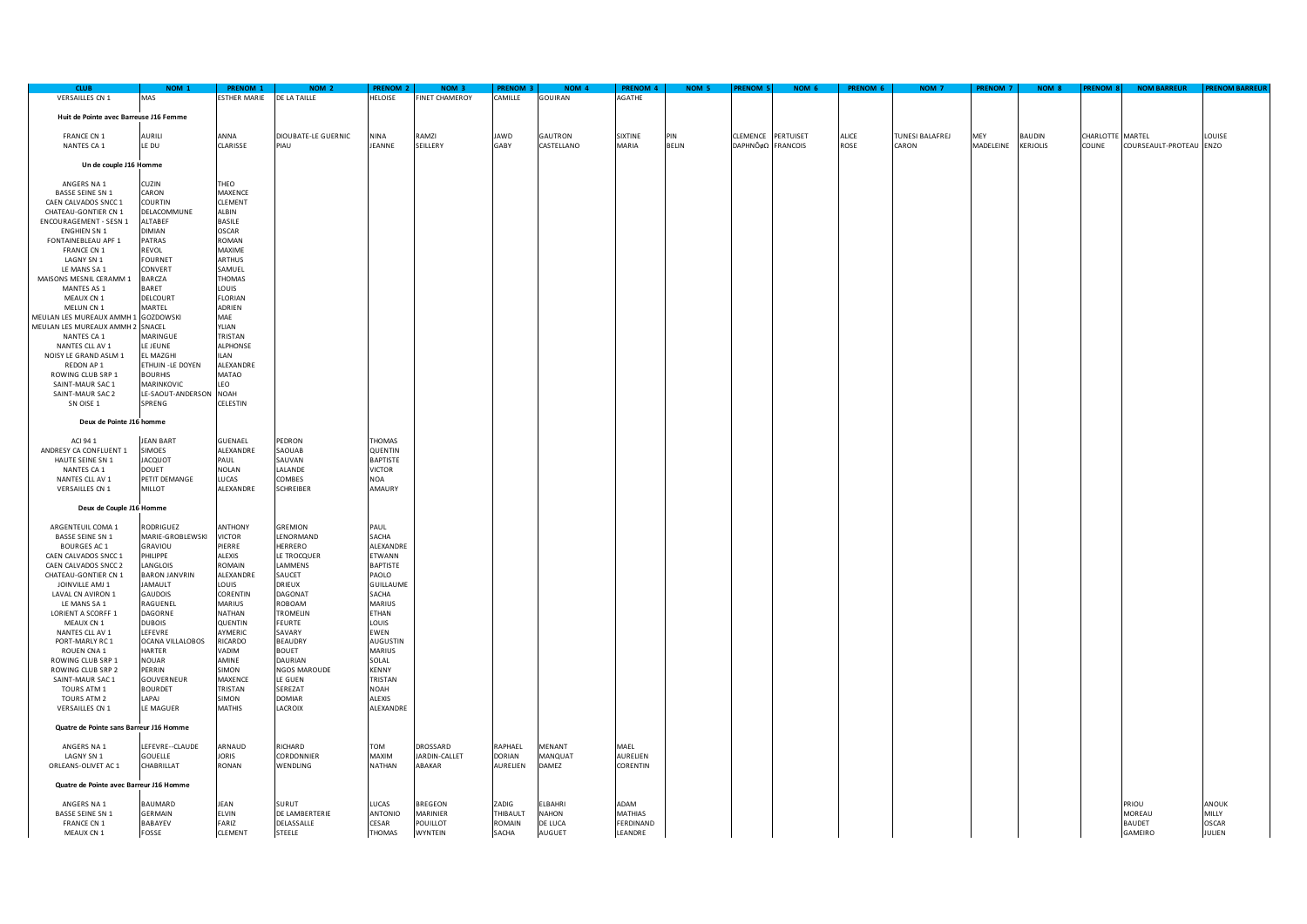| <b>CLUB</b>                             | NOM <sub>1</sub>       | <b>PRENOM 1</b>     | NOM <sub>2</sub>    | <b>PRENOM 2</b>  | NOM <sub>3</sub>      | <b>PRENOM 3</b> | NOM <sub>4</sub> | <b>PRENOM 4</b> | NOM 5        | <b>RENOM 5</b>     | NOM 6 | PRENOM 6 | NOM <sub>7</sub>       | PRENOM 7  | NOM 8           | <b>RENOM 8</b>   | <b>NOM BARREUR</b>      | <b>PRENOM BARREUF</b> |
|-----------------------------------------|------------------------|---------------------|---------------------|------------------|-----------------------|-----------------|------------------|-----------------|--------------|--------------------|-------|----------|------------------------|-----------|-----------------|------------------|-------------------------|-----------------------|
| <b>VERSAILLES CN 1</b>                  | MAS                    | <b>ESTHER MARIE</b> | DE LA TAILLE        | HELOISE          | <b>FINET CHAMEROY</b> | CAMILLE         | <b>GOUIRAN</b>   | <b>GATHE</b>    |              |                    |       |          |                        |           |                 |                  |                         |                       |
|                                         |                        |                     |                     |                  |                       |                 |                  |                 |              |                    |       |          |                        |           |                 |                  |                         |                       |
|                                         |                        |                     |                     |                  |                       |                 |                  |                 |              |                    |       |          |                        |           |                 |                  |                         |                       |
| Huit de Pointe avec Barreuse J16 Femme  |                        |                     |                     |                  |                       |                 |                  |                 |              |                    |       |          |                        |           |                 |                  |                         |                       |
|                                         |                        |                     |                     |                  |                       |                 |                  |                 |              |                    |       |          |                        |           |                 |                  |                         |                       |
| <b>FRANCE CN 1</b>                      | <b>AURILI</b>          | ANNA                | DIOUBATE-LE GUERNIC | NINA             | RAMZI                 | JAWD            | GAUTRON          | <b>SIXTINE</b>  | PIN          | CLEMENCE PERTUISET |       | ALICE    | <b>TUNESI BALAFREJ</b> | MEY       | <b>BAUDIN</b>   | CHARLOTTE MARTEL |                         | LOUISE                |
| NANTES CA 1                             | LE DU                  | CLARISSE            | PIAU                | JEANNE           | SEILLERY              | GABY            | CASTELLANO       | MARIA           | <b>BELIN</b> | DAPHNÔ¢Ω FRANCOIS  |       | ROSE     | CARON                  | MADELEINE | <b>KERJOLIS</b> | COLINE           | COURSEAULT-PROTEAU ENZO |                       |
|                                         |                        |                     |                     |                  |                       |                 |                  |                 |              |                    |       |          |                        |           |                 |                  |                         |                       |
|                                         |                        |                     |                     |                  |                       |                 |                  |                 |              |                    |       |          |                        |           |                 |                  |                         |                       |
| Un de couple J16 Homme                  |                        |                     |                     |                  |                       |                 |                  |                 |              |                    |       |          |                        |           |                 |                  |                         |                       |
|                                         |                        |                     |                     |                  |                       |                 |                  |                 |              |                    |       |          |                        |           |                 |                  |                         |                       |
| ANGERS NA 1                             | CUZIN                  | THEO                |                     |                  |                       |                 |                  |                 |              |                    |       |          |                        |           |                 |                  |                         |                       |
| <b>BASSE SEINE SN 1</b>                 | CARON                  | MAXENCE             |                     |                  |                       |                 |                  |                 |              |                    |       |          |                        |           |                 |                  |                         |                       |
| CAEN CALVADOS SNCC 1                    | COURTIN                | CLEMENT             |                     |                  |                       |                 |                  |                 |              |                    |       |          |                        |           |                 |                  |                         |                       |
|                                         |                        | ALBIN               |                     |                  |                       |                 |                  |                 |              |                    |       |          |                        |           |                 |                  |                         |                       |
| CHATEAU-GONTIER CN 1                    | DELACOMMUNE            |                     |                     |                  |                       |                 |                  |                 |              |                    |       |          |                        |           |                 |                  |                         |                       |
| ENCOURAGEMENT - SESN 1                  | <b>AITABFF</b>         | <b>BASILE</b>       |                     |                  |                       |                 |                  |                 |              |                    |       |          |                        |           |                 |                  |                         |                       |
| ENGHIEN SN 1                            | DIMIAN                 | <b>OSCAR</b>        |                     |                  |                       |                 |                  |                 |              |                    |       |          |                        |           |                 |                  |                         |                       |
| FONTAINEBLEAU APF 1                     | PATRAS                 | ROMAN               |                     |                  |                       |                 |                  |                 |              |                    |       |          |                        |           |                 |                  |                         |                       |
| <b>FRANCE CN 1</b>                      | REVOL                  | MAXIME              |                     |                  |                       |                 |                  |                 |              |                    |       |          |                        |           |                 |                  |                         |                       |
| LAGNY SN 1                              | <b>FOURNET</b>         | <b>ARTHUS</b>       |                     |                  |                       |                 |                  |                 |              |                    |       |          |                        |           |                 |                  |                         |                       |
|                                         |                        |                     |                     |                  |                       |                 |                  |                 |              |                    |       |          |                        |           |                 |                  |                         |                       |
| LE MANS SA 1                            | CONVERT                | SAMUEL              |                     |                  |                       |                 |                  |                 |              |                    |       |          |                        |           |                 |                  |                         |                       |
| MAISONS MESNIL CERAMM 1                 | BARCZA                 | THOMAS              |                     |                  |                       |                 |                  |                 |              |                    |       |          |                        |           |                 |                  |                         |                       |
| MANTES AS 1                             | BARET                  | LOUIS               |                     |                  |                       |                 |                  |                 |              |                    |       |          |                        |           |                 |                  |                         |                       |
| MEAUX CN 1                              | DELCOURT               | <b>FLORIAN</b>      |                     |                  |                       |                 |                  |                 |              |                    |       |          |                        |           |                 |                  |                         |                       |
| MELUN CN 1                              | MARTEL                 | ADRIEN              |                     |                  |                       |                 |                  |                 |              |                    |       |          |                        |           |                 |                  |                         |                       |
| MEULAN LES MUREAUX AMMH 1 GOZDOWSKI     |                        | MAE                 |                     |                  |                       |                 |                  |                 |              |                    |       |          |                        |           |                 |                  |                         |                       |
|                                         |                        |                     |                     |                  |                       |                 |                  |                 |              |                    |       |          |                        |           |                 |                  |                         |                       |
| MEULAN LES MUREAUX AMMH 2 SNACEL        |                        | YLIAN               |                     |                  |                       |                 |                  |                 |              |                    |       |          |                        |           |                 |                  |                         |                       |
| NANTES CA 1                             | MARINGUE               | TRISTAN             |                     |                  |                       |                 |                  |                 |              |                    |       |          |                        |           |                 |                  |                         |                       |
| NANTES CLL AV 1                         | LE JEUNE               | ALPHONSE            |                     |                  |                       |                 |                  |                 |              |                    |       |          |                        |           |                 |                  |                         |                       |
| NOISY LE GRAND ASLM 1                   | EL MAZGHI              | <b>ILAN</b>         |                     |                  |                       |                 |                  |                 |              |                    |       |          |                        |           |                 |                  |                         |                       |
| REDON AP 1                              | ETHUIN -LE DOYEN       | ALEXANDRE           |                     |                  |                       |                 |                  |                 |              |                    |       |          |                        |           |                 |                  |                         |                       |
|                                         |                        |                     |                     |                  |                       |                 |                  |                 |              |                    |       |          |                        |           |                 |                  |                         |                       |
| ROWING CLUB SRP 1                       | <b>BOURHIS</b>         | MATAO               |                     |                  |                       |                 |                  |                 |              |                    |       |          |                        |           |                 |                  |                         |                       |
| SAINT-MAUR SAC 1                        | MARINKOVIC             | LEO                 |                     |                  |                       |                 |                  |                 |              |                    |       |          |                        |           |                 |                  |                         |                       |
| SAINT-MAUR SAC 2                        | LE-SAOUT-ANDERSON NOAH |                     |                     |                  |                       |                 |                  |                 |              |                    |       |          |                        |           |                 |                  |                         |                       |
| SN OISE 1                               | SPRENG                 | CELESTIN            |                     |                  |                       |                 |                  |                 |              |                    |       |          |                        |           |                 |                  |                         |                       |
|                                         |                        |                     |                     |                  |                       |                 |                  |                 |              |                    |       |          |                        |           |                 |                  |                         |                       |
|                                         |                        |                     |                     |                  |                       |                 |                  |                 |              |                    |       |          |                        |           |                 |                  |                         |                       |
| Deux de Pointe J16 homme                |                        |                     |                     |                  |                       |                 |                  |                 |              |                    |       |          |                        |           |                 |                  |                         |                       |
|                                         |                        |                     |                     |                  |                       |                 |                  |                 |              |                    |       |          |                        |           |                 |                  |                         |                       |
| ACI 94 1                                | <b>JEAN BART</b>       | GUENAEL             | PEDRON              | <b>THOMAS</b>    |                       |                 |                  |                 |              |                    |       |          |                        |           |                 |                  |                         |                       |
| ANDRESY CA CONFLUENT 1                  | <b>SIMOES</b>          | ALEXANDRE           | SAOUAB              | QUENTIN          |                       |                 |                  |                 |              |                    |       |          |                        |           |                 |                  |                         |                       |
| HAUTE SEINE SN 1                        | <b>JACQUOT</b>         | PAUL                | AUVAN               | <b>BAPTISTE</b>  |                       |                 |                  |                 |              |                    |       |          |                        |           |                 |                  |                         |                       |
|                                         |                        |                     |                     |                  |                       |                 |                  |                 |              |                    |       |          |                        |           |                 |                  |                         |                       |
| NANTES CA 1                             | <b>DOUET</b>           | <b>NOLAN</b>        | LALANDE             | <b>VICTOR</b>    |                       |                 |                  |                 |              |                    |       |          |                        |           |                 |                  |                         |                       |
| NANTES CLL AV 1                         | PETIT DEMANGE          | LUCAS               | COMBES              | <b>NOA</b>       |                       |                 |                  |                 |              |                    |       |          |                        |           |                 |                  |                         |                       |
| VERSAILLES CN 1                         | MILLOT                 | ALEXANDRE           | <b>SCHREIBER</b>    | AMAURY           |                       |                 |                  |                 |              |                    |       |          |                        |           |                 |                  |                         |                       |
|                                         |                        |                     |                     |                  |                       |                 |                  |                 |              |                    |       |          |                        |           |                 |                  |                         |                       |
| Deux de Couple J16 Homme                |                        |                     |                     |                  |                       |                 |                  |                 |              |                    |       |          |                        |           |                 |                  |                         |                       |
|                                         |                        |                     |                     |                  |                       |                 |                  |                 |              |                    |       |          |                        |           |                 |                  |                         |                       |
|                                         |                        |                     |                     |                  |                       |                 |                  |                 |              |                    |       |          |                        |           |                 |                  |                         |                       |
| ARGENTEUIL COMA 1                       | <b>RODRIGUEZ</b>       | <b>ANTHONY</b>      | GREMION             | PAUL             |                       |                 |                  |                 |              |                    |       |          |                        |           |                 |                  |                         |                       |
| BASSE SEINE SN 1                        | MARIE-GROBLEWSKI       | <b>VICTOR</b>       | LENORMAND           | SACHA            |                       |                 |                  |                 |              |                    |       |          |                        |           |                 |                  |                         |                       |
| <b>BOURGES AC 1</b>                     | GRAVIOU                | PIERRE              | HERRERO             | ALEXANDRE        |                       |                 |                  |                 |              |                    |       |          |                        |           |                 |                  |                         |                       |
| CAEN CALVADOS SNCC 1                    | PHILIPPE               | ALEXIS              | LE TROCQUER         | ETWANN           |                       |                 |                  |                 |              |                    |       |          |                        |           |                 |                  |                         |                       |
| CAEN CALVADOS SNCC 2                    | LANGLOIS               | ROMAIN              | LAMMENS             | <b>BAPTISTE</b>  |                       |                 |                  |                 |              |                    |       |          |                        |           |                 |                  |                         |                       |
|                                         |                        |                     |                     | PAOLO            |                       |                 |                  |                 |              |                    |       |          |                        |           |                 |                  |                         |                       |
| CHATEAU-GONTIER CN 1                    | <b>BARON JANVRIN</b>   | ALEXANDRE           | SAUCET              |                  |                       |                 |                  |                 |              |                    |       |          |                        |           |                 |                  |                         |                       |
| JOINVILLE AMJ 1                         | <b>JAMAULT</b>         | LOUIS               | DRIEUX              | <b>GUILLAUME</b> |                       |                 |                  |                 |              |                    |       |          |                        |           |                 |                  |                         |                       |
| LAVAL CN AVIRON 1                       | GAUDOIS                | CORENTIN            | <b>DAGONAT</b>      | SACHA            |                       |                 |                  |                 |              |                    |       |          |                        |           |                 |                  |                         |                       |
| LE MANS SA 1                            | RAGUENEL               | MARIUS              | ROBOAM              | MARIUS           |                       |                 |                  |                 |              |                    |       |          |                        |           |                 |                  |                         |                       |
| LORIENT A SCORFF 1                      | DAGORNE                | <b>NATHAN</b>       | TROMELIN            | ETHAN            |                       |                 |                  |                 |              |                    |       |          |                        |           |                 |                  |                         |                       |
| MEAUX CN 1                              | <b>DUBOIS</b>          | QUENTIN             | FEURTE              | LOUIS            |                       |                 |                  |                 |              |                    |       |          |                        |           |                 |                  |                         |                       |
|                                         |                        |                     |                     |                  |                       |                 |                  |                 |              |                    |       |          |                        |           |                 |                  |                         |                       |
| NANTES CLL AV 1                         | LEFEVRE                | AYMERIC             | SAVARY              | EWEN             |                       |                 |                  |                 |              |                    |       |          |                        |           |                 |                  |                         |                       |
| PORT-MARLY RC 1                         | OCANA VILLALOBOS       | RICARDO             | BEAUDRY             | <b>AUGUSTIN</b>  |                       |                 |                  |                 |              |                    |       |          |                        |           |                 |                  |                         |                       |
| ROUEN CNA 1                             | <b>HARTER</b>          | VADIM               | <b>BOUET</b>        | MARIUS           |                       |                 |                  |                 |              |                    |       |          |                        |           |                 |                  |                         |                       |
| ROWING CLUB SRP 1                       | NOUAR                  | AMINE               | DAURIAN             | SOLAL            |                       |                 |                  |                 |              |                    |       |          |                        |           |                 |                  |                         |                       |
| ROWING CLUB SRP 2                       | PERRIN                 | SIMON               | NGOS MAROUDE        | <b>KENNY</b>     |                       |                 |                  |                 |              |                    |       |          |                        |           |                 |                  |                         |                       |
| SAINT-MAUR SAC 1                        | GOUVERNEUR             | MAXENCE             | LE GUEN             | TRISTAN          |                       |                 |                  |                 |              |                    |       |          |                        |           |                 |                  |                         |                       |
|                                         |                        |                     |                     |                  |                       |                 |                  |                 |              |                    |       |          |                        |           |                 |                  |                         |                       |
| TOURS ATM 1                             | <b>BOURDET</b>         | TRISTAN             | SEREZAT             | NOAH             |                       |                 |                  |                 |              |                    |       |          |                        |           |                 |                  |                         |                       |
| TOURS ATM 2                             | LAPAJ                  | SIMON               | <b>DOMIAR</b>       | ALEXIS           |                       |                 |                  |                 |              |                    |       |          |                        |           |                 |                  |                         |                       |
| VERSAILLES CN 1                         | LE MAGUER              | MATHIS              | LACROIX             | ALEXANDRE        |                       |                 |                  |                 |              |                    |       |          |                        |           |                 |                  |                         |                       |
|                                         |                        |                     |                     |                  |                       |                 |                  |                 |              |                    |       |          |                        |           |                 |                  |                         |                       |
| Quatre de Pointe sans Barreur J16 Homme |                        |                     |                     |                  |                       |                 |                  |                 |              |                    |       |          |                        |           |                 |                  |                         |                       |
|                                         |                        |                     |                     |                  |                       |                 |                  |                 |              |                    |       |          |                        |           |                 |                  |                         |                       |
|                                         |                        |                     |                     |                  |                       |                 |                  |                 |              |                    |       |          |                        |           |                 |                  |                         |                       |
| ANGERS NA 1                             | LEFEVRE -- CLAUDE      | ARNAUD              | RICHARD             | <b>TOM</b>       | DROSSARD              | RAPHAEL         | MENANT           | MAEL            |              |                    |       |          |                        |           |                 |                  |                         |                       |
| LAGNY SN 1                              | GOUELLE                | <b>JORIS</b>        | CORDONNIER          | MAXIM            | JARDIN-CALLET         | <b>DORIAN</b>   | MANQUAT          | AURELIEN        |              |                    |       |          |                        |           |                 |                  |                         |                       |
| ORLEANS-OLIVET AC 1                     | CHABRILLAT             | <b>RONAN</b>        | WENDLING            | NATHAN           | ABAKAR                | AURELIEN        | DAMEZ            | CORENTIN        |              |                    |       |          |                        |           |                 |                  |                         |                       |
|                                         |                        |                     |                     |                  |                       |                 |                  |                 |              |                    |       |          |                        |           |                 |                  |                         |                       |
| Quatre de Pointe avec Barreur J16 Homme |                        |                     |                     |                  |                       |                 |                  |                 |              |                    |       |          |                        |           |                 |                  |                         |                       |
|                                         |                        |                     |                     |                  |                       |                 |                  |                 |              |                    |       |          |                        |           |                 |                  |                         |                       |
|                                         |                        |                     |                     |                  |                       |                 |                  |                 |              |                    |       |          |                        |           |                 |                  |                         |                       |
| ANGERS NA 1                             | <b>BAUMARD</b>         | JEAN                | SURUT               | LUCAS            | <b>BREGEON</b>        | ZADIG           | <b>FIBAHRI</b>   | MAN             |              |                    |       |          |                        |           |                 |                  | PRIOU                   | ANOUK                 |
| <b>BASSE SEINE SN 1</b>                 | GERMAIN                | ELVIN               | DE LAMBERTERIE      | <b>ANTONIO</b>   | MARINIER              | THIBAULT        | NAHON            | MATHIAS         |              |                    |       |          |                        |           |                 |                  | MOREAU                  | MILLY                 |
| FRANCE CN 1                             | BABAYEV                | FARIZ               | DELASSALLE          | CESAR            | <b>POUILLOT</b>       | ROMAIN          | DE LUCA          | ERDINAND        |              |                    |       |          |                        |           |                 |                  | <b>BAUDET</b>           | OSCAR                 |
| MEAUX CN 1                              | FOSSE                  | <b>CLEMENT</b>      | <b>STEELE</b>       | THOMAS           | <b>WYNTEIN</b>        | SACHA           | AUGUET           | LEANDRE         |              |                    |       |          |                        |           |                 |                  | <b>GAMEIRO</b>          | JULIEN                |
|                                         |                        |                     |                     |                  |                       |                 |                  |                 |              |                    |       |          |                        |           |                 |                  |                         |                       |